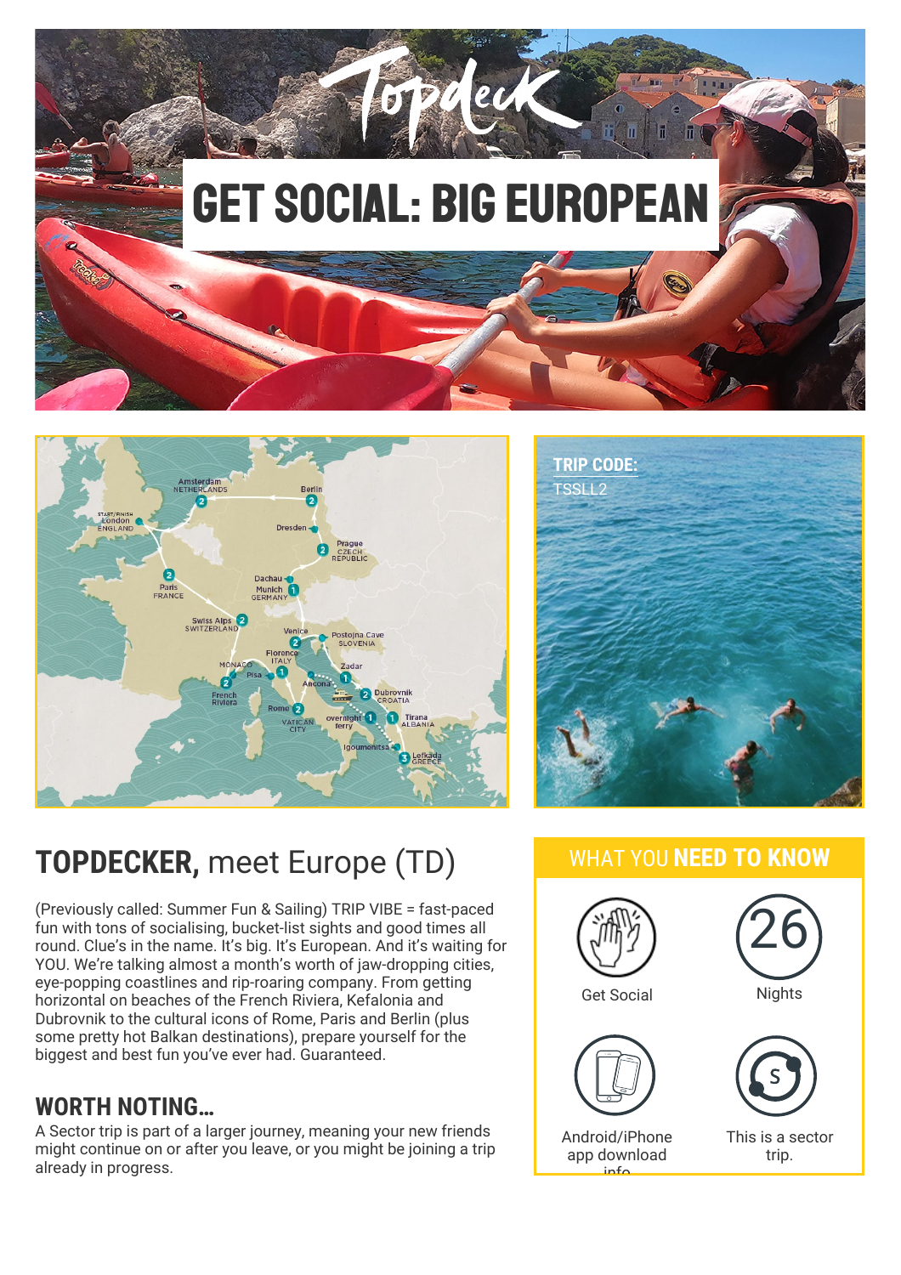





# **TOPDECKER,** meet Europe (TD)

(Previously called: Summer Fun & Sailing) TRIP VIBE = fast-paced fun with tons of socialising, bucket-list sights and good times all round. Clue's in the name. It's big. It's European. And it's waiting for YOU. We're talking almost a month's worth of jaw-dropping cities, eye-popping coastlines and rip-roaring company. From getting horizontal on beaches of the French Riviera, Kefalonia and Dubrovnik to the cultural icons of Rome, Paris and Berlin (plus some pretty hot Balkan destinations), prepare yourself for the biggest and best fun you've ever had. Guaranteed.

## **WORTH NOTING…**

A Sector trip is part of a larger journey, meaning your new friends might continue on or after you leave, or you might be joining a trip already in progress.

### WHAT YOU **NEED TO KNOW**

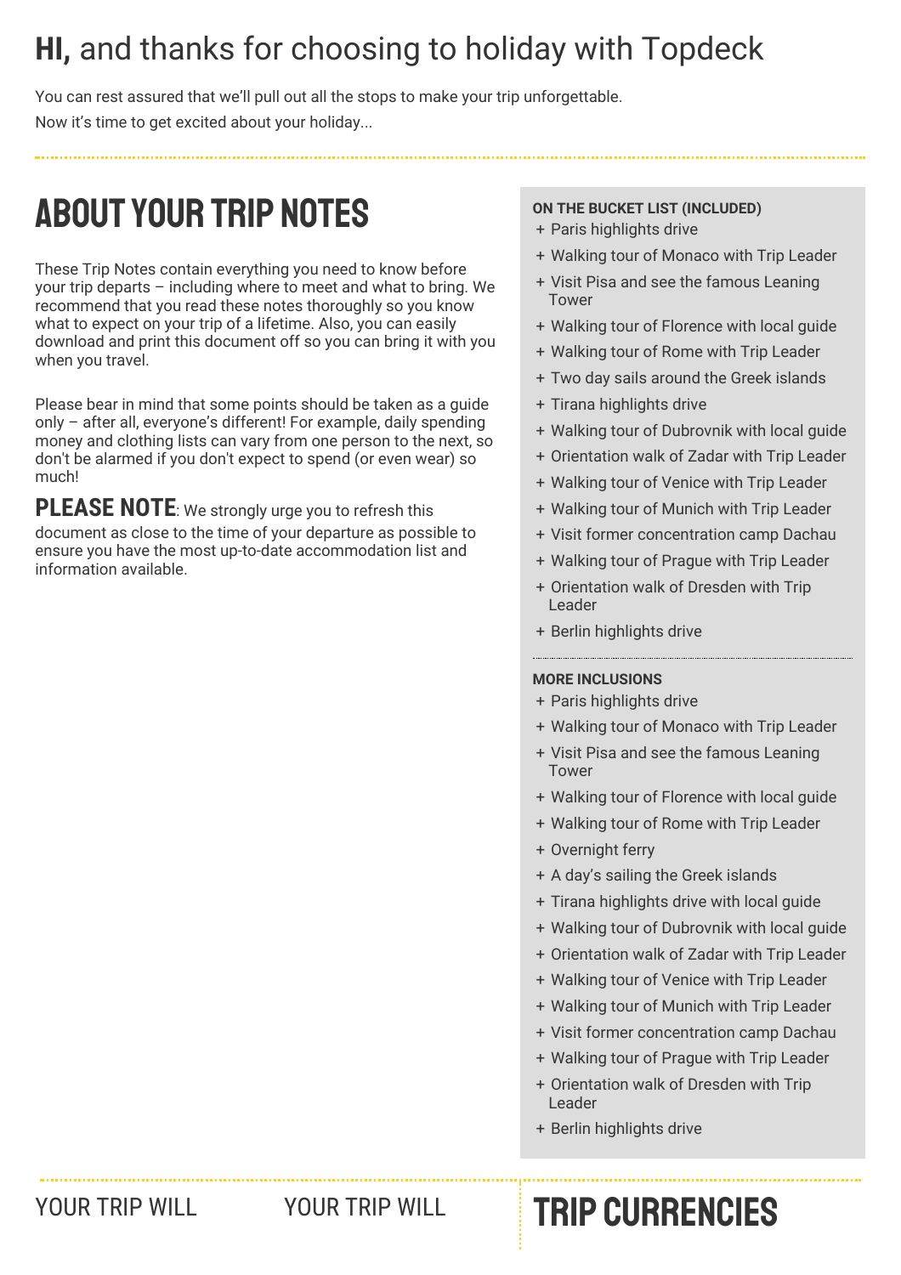# **HI,** and thanks for choosing to holiday with Topdeck

You can rest assured that we'll pull out all the stops to make your trip unforgettable. Now it's time to get excited about your holiday...

# ABOUTYOUR TRIP NOTES

These Trip Notes contain everything you need to know before your trip departs – including where to meet and what to bring. We recommend that you read these notes thoroughly so you know what to expect on your trip of a lifetime. Also, you can easily download and print this document off so you can bring it with you when you travel.

Please bear in mind that some points should be taken as a guide only – after all, everyone's different! For example, daily spending money and clothing lists can vary from one person to the next, so don't be alarmed if you don't expect to spend (or even wear) so much!

**PLEASE NOTE**: We strongly urge you to refresh this document as close to the time of your departure as possible to ensure you have the most up-to-date accommodation list and information available.

### **ON THE BUCKET LIST (INCLUDED)**

- + Paris highlights drive
- + Walking tour of Monaco with Trip Leader
- + Visit Pisa and see the famous Leaning Tower
- + Walking tour of Florence with local guide
- + Walking tour of Rome with Trip Leader
- + Two day sails around the Greek islands
- + Tirana highlights drive
- + Walking tour of Dubrovnik with local guide
- + Orientation walk of Zadar with Trip Leader
- + Walking tour of Venice with Trip Leader
- + Walking tour of Munich with Trip Leader
- + Visit former concentration camp Dachau
- + Walking tour of Prague with Trip Leader
- + Orientation walk of Dresden with Trip Leader
- + Berlin highlights drive

### **MORE INCLUSIONS**

- + Paris highlights drive
- + Walking tour of Monaco with Trip Leader
- + Visit Pisa and see the famous Leaning Tower
- + Walking tour of Florence with local guide
- + Walking tour of Rome with Trip Leader
- + Overnight ferry
- + A day's sailing the Greek islands
- + Tirana highlights drive with local guide
- + Walking tour of Dubrovnik with local guide
- + Orientation walk of Zadar with Trip Leader
- + Walking tour of Venice with Trip Leader
- + Walking tour of Munich with Trip Leader
- + Visit former concentration camp Dachau
- + Walking tour of Prague with Trip Leader
- + Orientation walk of Dresden with Trip Leader
- + Berlin highlights drive

# YOUR TRIP WILL YOUR TRIP WILL **TRIP CURRENCIES**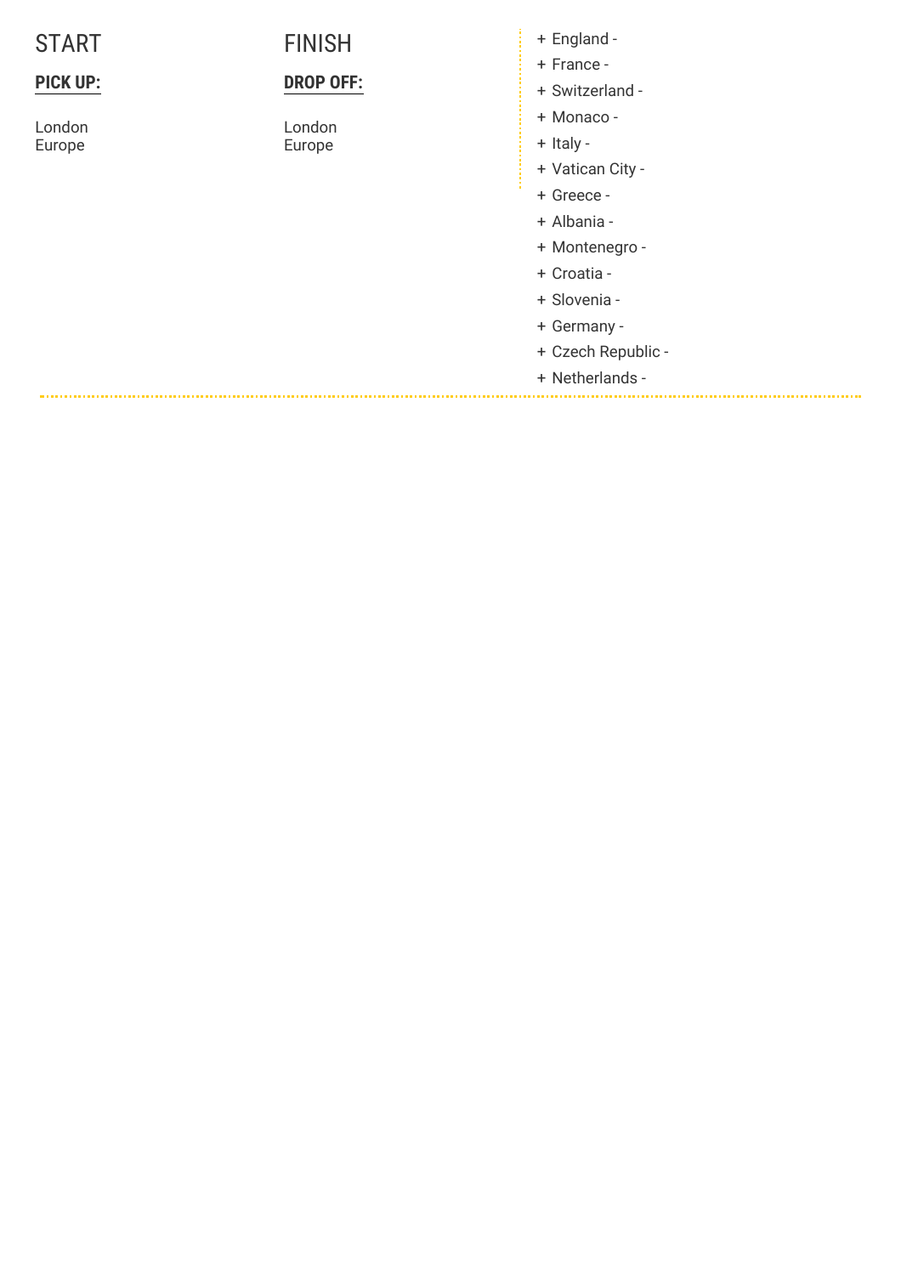### **P I C K U P :**

London **Europe** 

### **FINISH**

### **DROP OFF:**

London **Europe** 

E n gla n d -

- France -
- ++++++++++++++ Switzerland -
- Monaco -
- + Italy -
- Vatican Cit y -
- Greece -
- Alb a nia -
- Montenegro -
- Croatia -
- Slo v e nia -
- Germany -
- Czech Republic -

Netherlands -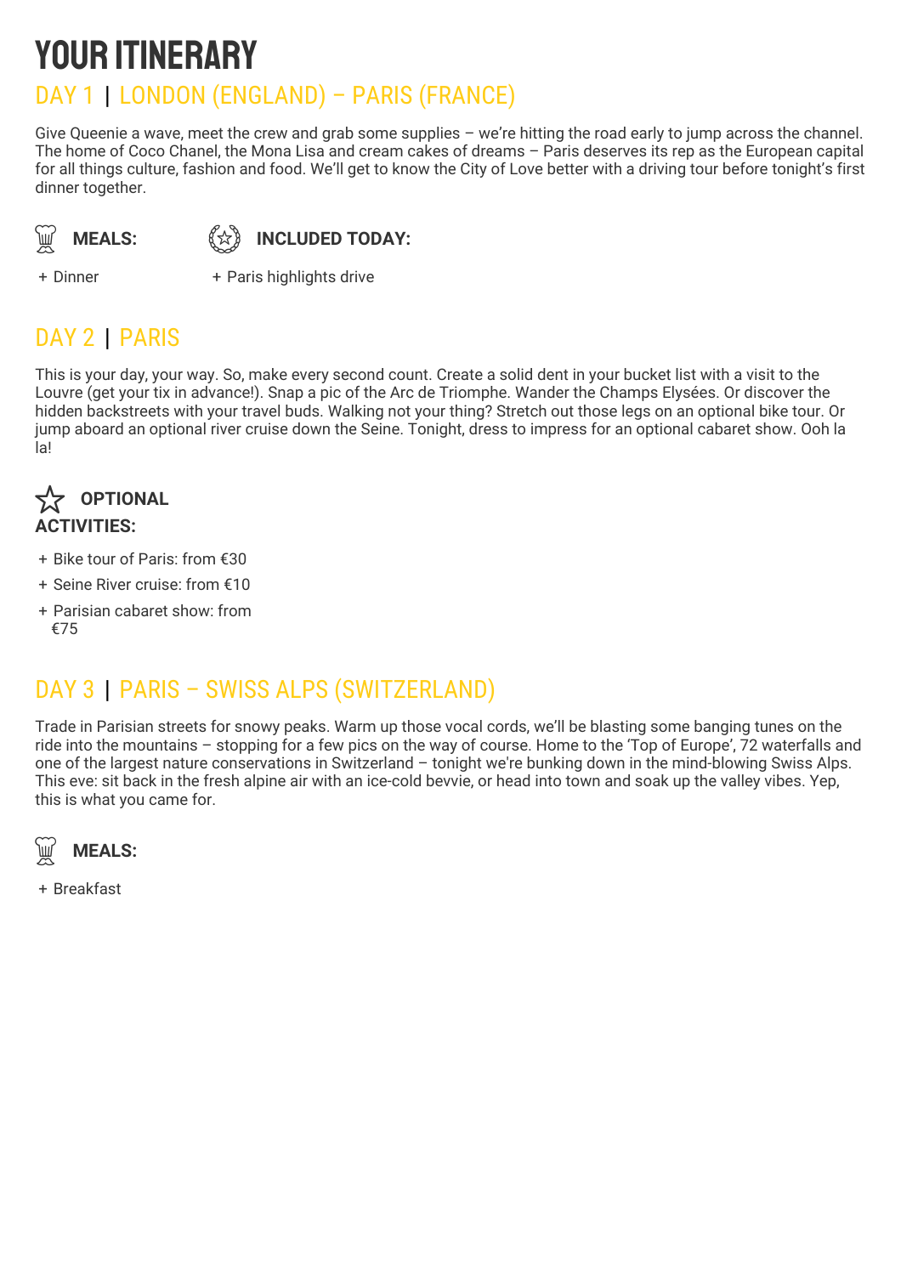# YOUR ITINERARY

## DAY 1 | LONDON (ENGLAND) – PARIS (FRANCE)

Give Queenie a wave, meet the crew and grab some supplies – we're hitting the road early to jump across the channel. The home of Coco Chanel, the Mona Lisa and cream cakes of dreams – Paris deserves its rep as the European capital for all things culture, fashion and food. We'll get to know the City of Love better with a driving tour before tonight's first dinner together.

**MEALS:** 《☆》

**INCLUDED TODAY:** 

+ Dinner +

+ Paris highlights drive

## DAY 2 | PARIS

This is your day, your way. So, make every second count. Create a solid dent in your bucket list with a visit to the Louvre (get your tix in advance!). Snap a pic of the Arc de Triomphe. Wander the Champs Elysées. Or discover the hidden backstreets with your travel buds. Walking not your thing? Stretch out those legs on an optional bike tour. Or jump aboard an optional river cruise down the Seine. Tonight, dress to impress for an optional cabaret show. Ooh la la!



- + Bike tour of Paris: from €30
- + Seine River cruise: from €10
- + Parisian cabaret show: from €75

## DAY 3 | PARIS – SWISS ALPS (SWITZERLAND)

Trade in Parisian streets for snowy peaks. Warm up those vocal cords, we'll be blasting some banging tunes on the ride into the mountains – stopping for a few pics on the way of course. Home to the 'Top of Europe', 72 waterfalls and one of the largest nature conservations in Switzerland – tonight we're bunking down in the mind-blowing Swiss Alps. This eve: sit back in the fresh alpine air with an ice-cold bevvie, or head into town and soak up the valley vibes. Yep, this is what you came for.



+ Breakfast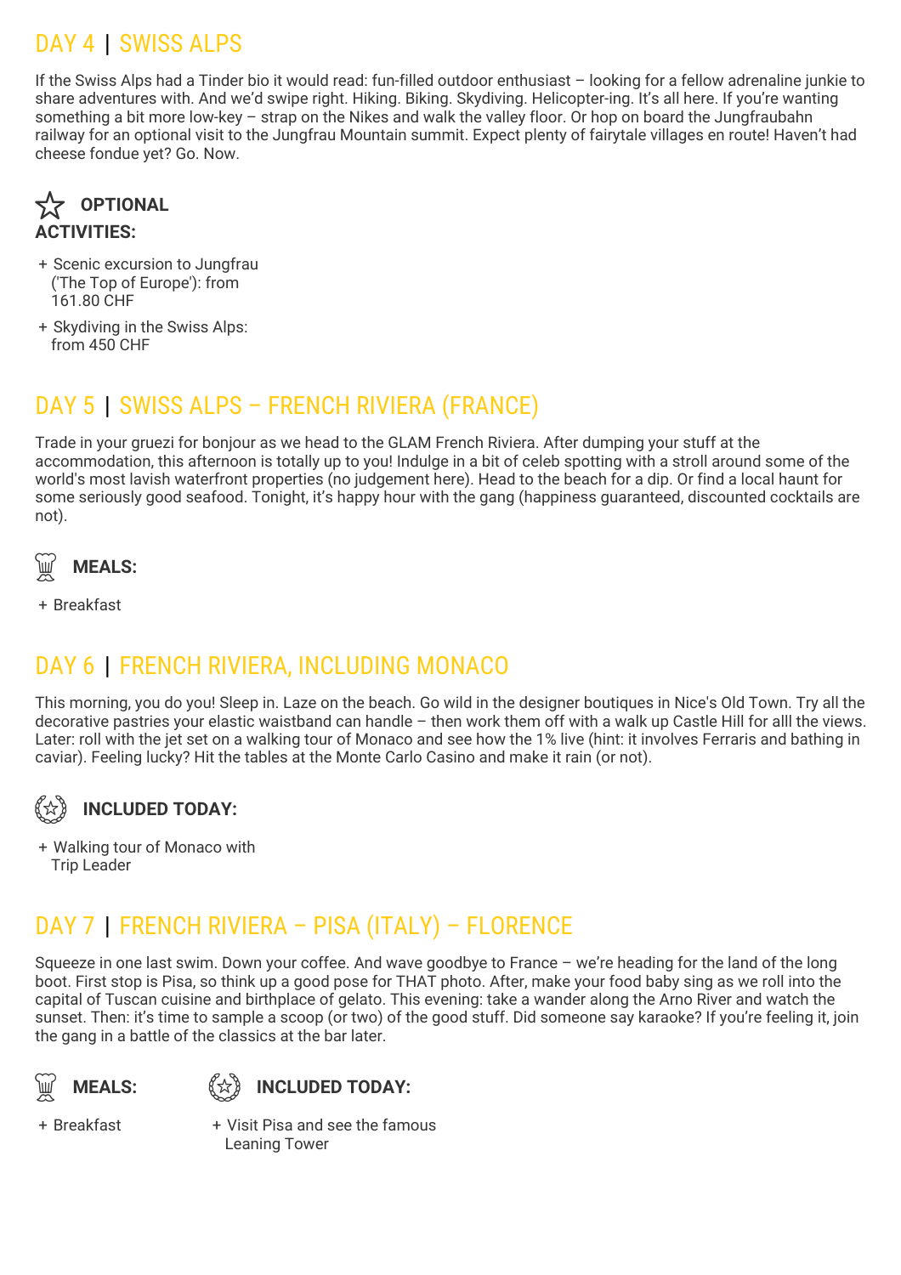## DAY 4 | SWISS ALPS

If the Swiss Alps had a Tinder bio it would read: fun-filled outdoor enthusiast – looking for a fellow adrenaline junkie to share adventures with. And we'd swipe right. Hiking. Biking. Skydiving. Helicopter-ing. It's all here. If you're wanting something a bit more low-key – strap on the Nikes and walk the valley floor. Or hop on board the Jungfraubahn railway for an optional visit to the Jungfrau Mountain summit. Expect plenty of fairytale villages en route! Haven't had cheese fondue yet? Go. Now.



- + Scenic excursion to Jungfrau ('The Top of Europe'): from 161.80 CHF
- + Skydiving in the Swiss Alps: from 450 CHF

## DAY 5 | SWISS ALPS – FRENCH RIVIERA (FRANCE)

Trade in your gruezi for bonjour as we head to the GLAM French Riviera. After dumping your stuff at the accommodation, this afternoon is totally up to you! Indulge in a bit of celeb spotting with a stroll around some of the world's most lavish waterfront properties (no judgement here). Head to the beach for a dip. Or find a local haunt for some seriously good seafood. Tonight, it's happy hour with the gang (happiness guaranteed, discounted cocktails are not).



+ Breakfast

### DAY 6 | FRENCH RIVIERA, INCLUDING MONACO

This morning, you do you! Sleep in. Laze on the beach. Go wild in the designer boutiques in Nice's Old Town. Try all the decorative pastries your elastic waistband can handle – then work them off with a walk up Castle Hill for alll the views. Later: roll with the jet set on a walking tour of Monaco and see how the 1% live (hint: it involves Ferraris and bathing in caviar). Feeling lucky? Hit the tables at the Monte Carlo Casino and make it rain (or not).

#### **INCLUDED TODAY:** (1)

+ Walking tour of Monaco with Trip Leader

## DAY 7 | FRENCH RIVIERA – PISA (ITALY) – FLORENCE

Squeeze in one last swim. Down your coffee. And wave goodbye to France – we're heading for the land of the long boot. First stop is Pisa, so think up a good pose for THAT photo. After, make your food baby sing as we roll into the capital of Tuscan cuisine and birthplace of gelato. This evening: take a wander along the Arno River and watch the sunset. Then: it's time to sample a scoop (or two) of the good stuff. Did someone say karaoke? If you're feeling it, join the gang in a battle of the classics at the bar later.

**MEALS:** (分)



+ Breakfast +

Visit Pisa and see the famous Leaning Tower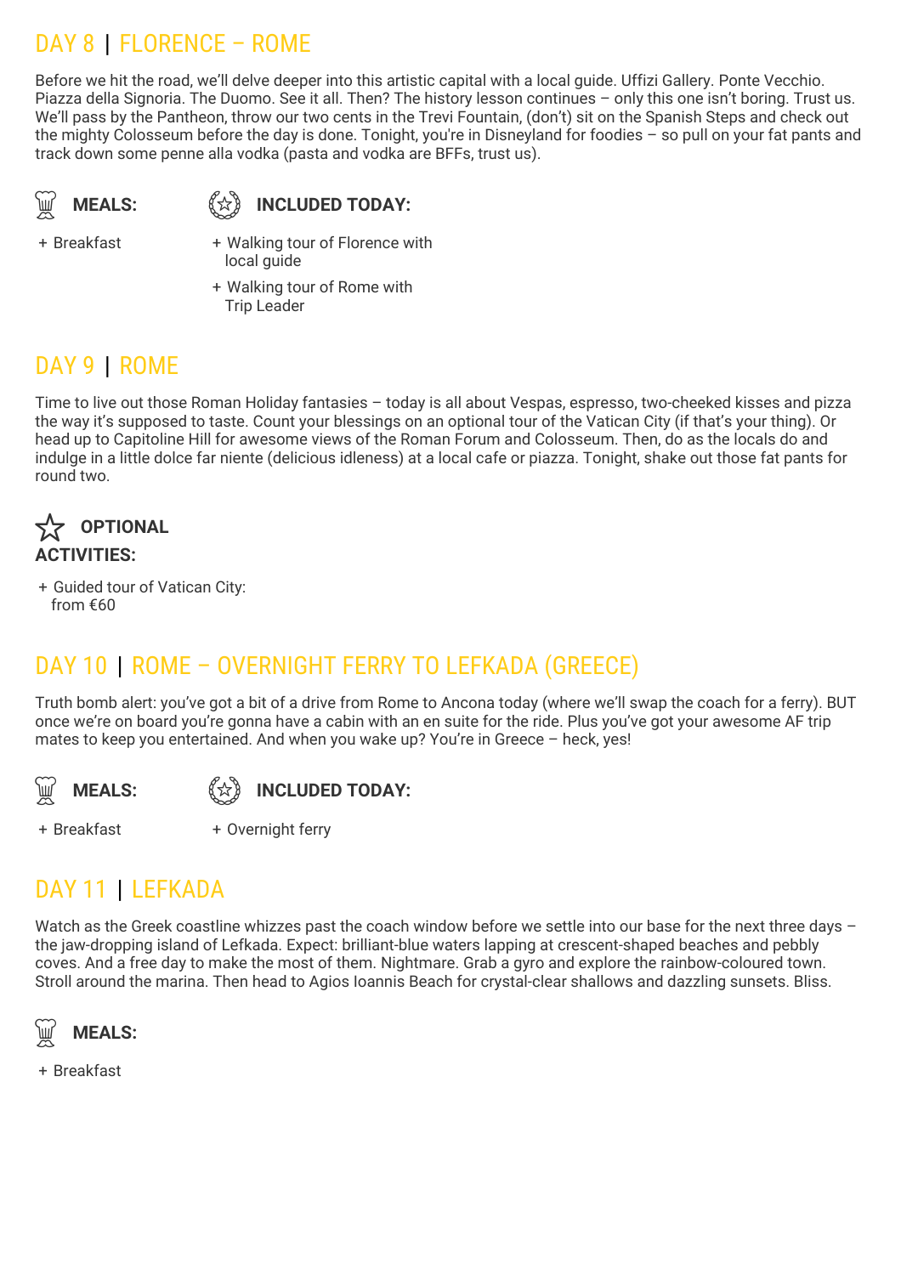## DAY 8 | FLORENCE – ROME

Before we hit the road, we'll delve deeper into this artistic capital with a local guide. Uffizi Gallery. Ponte Vecchio. Piazza della Signoria. The Duomo. See it all. Then? The history lesson continues – only this one isn't boring. Trust us. We'll pass by the Pantheon, throw our two cents in the Trevi Fountain, (don't) sit on the Spanish Steps and check out the mighty Colosseum before the day is done. Tonight, you're in Disneyland for foodies – so pull on your fat pants and track down some penne alla vodka (pasta and vodka are BFFs, trust us).

$$
\bigcirc \hspace{-0.1cm} \bigcirc \hspace{-0.1cm} \bigcirc \hspace{-0.1cm} \mathsf{MEALS:}
$$

 $\widetilde{\mathbb{R}}$  MEALS:  $\stackrel{\text{{\small $\left\{ \mathfrak{L} \right\} }}}{\longrightarrow}$  INCLUDED TODAY:

+ Breakfast +

+ Walking tour of Florence with local quide

+ Walking tour of Rome with Trip Leader

## DAY 9 | ROME

Time to live out those Roman Holiday fantasies – today is all about Vespas, espresso, two-cheeked kisses and pizza the way it's supposed to taste. Count your blessings on an optional tour of the Vatican City (if that's your thing). Or head up to Capitoline Hill for awesome views of the Roman Forum and Colosseum. Then, do as the locals do and indulge in a little dolce far niente (delicious idleness) at a local cafe or piazza. Tonight, shake out those fat pants for round two.



+ Guided tour of Vatican City: from €60

## DAY 10 | ROME – OVERNIGHT FERRY TO LEFKADA (GREECE)

Truth bomb alert: you've got a bit of a drive from Rome to Ancona today (where we'll swap the coach for a ferry). BUT once we're on board you're gonna have a cabin with an en suite for the ride. Plus you've got your awesome AF trip mates to keep you entertained. And when you wake up? You're in Greece – heck, yes!





+ Overnight ferry

+ Breakfast +

## DAY 11 | LEFKADA

Watch as the Greek coastline whizzes past the coach window before we settle into our base for the next three days – the jaw-dropping island of Lefkada. Expect: brilliant-blue waters lapping at crescent-shaped beaches and pebbly coves. And a free day to make the most of them. Nightmare. Grab a gyro and explore the rainbow-coloured town. Stroll around the marina. Then head to Agios Ioannis Beach for crystal-clear shallows and dazzling sunsets. Bliss.



+ Breakfast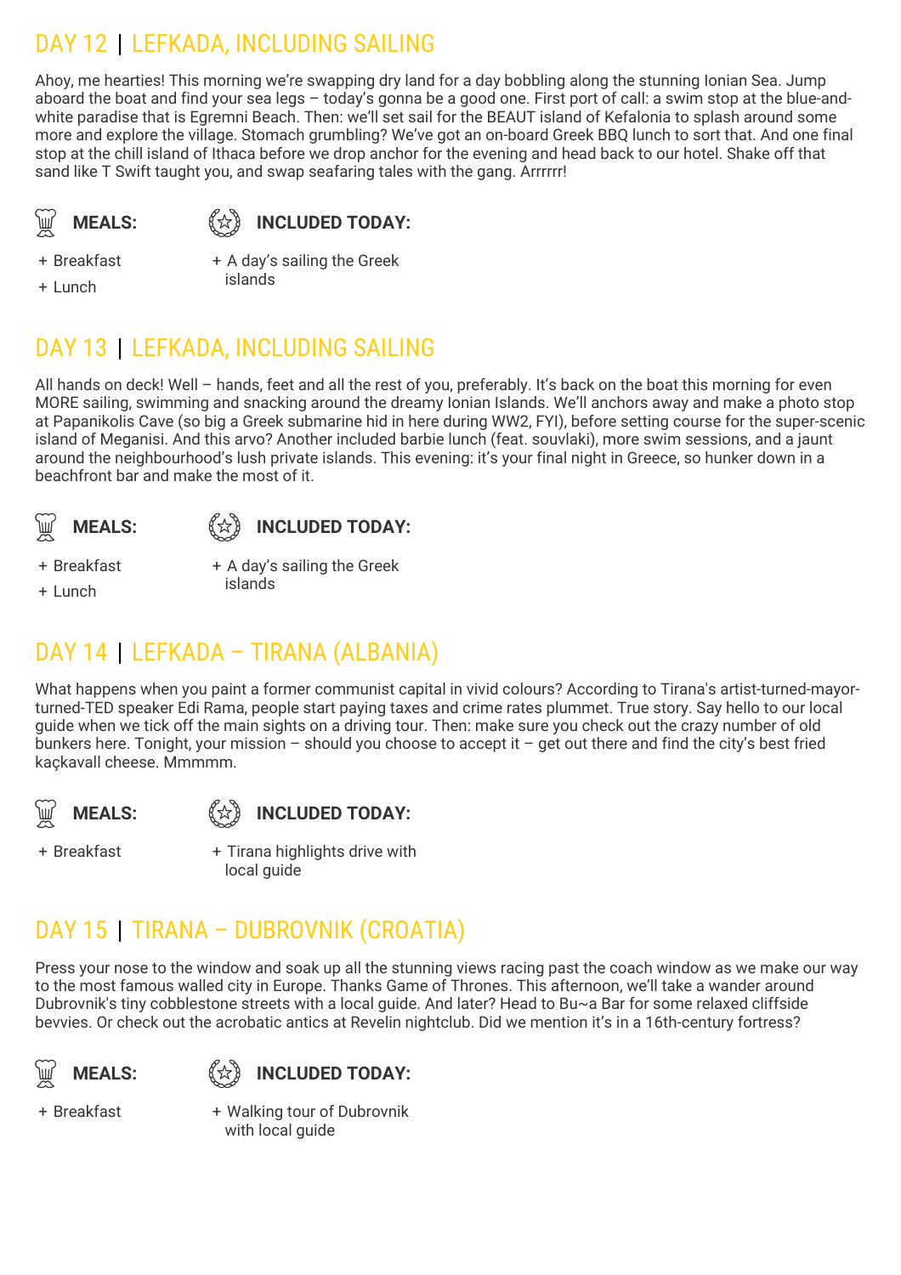## DAY 12 | LEFKADA, INCLUDING SAILING

Ahoy, me hearties! This morning we're swapping dry land for a day bobbling along the stunning Ionian Sea. Jump aboard the boat and find your sea legs – today's gonna be a good one. First port of call: a swim stop at the blue-andwhite paradise that is Egremni Beach. Then: we'll set sail for the BEAUT island of Kefalonia to splash around some more and explore the village. Stomach grumbling? We've got an on-board Greek BBQ lunch to sort that. And one final stop at the chill island of Ithaca before we drop anchor for the evening and head back to our hotel. Shake off that sand like T Swift taught you, and swap seafaring tales with the gang. Arrrrrr!

**MEALS:** 《☆》

### **INCLUDED TODAY:**

+ Breakfast

+ Lunch

+ A day's sailing the Greek islands

## DAY 13 | LEFKADA, INCLUDING SAILING

All hands on deck! Well – hands, feet and all the rest of you, preferably. It's back on the boat this morning for even MORE sailing, swimming and snacking around the dreamy Ionian Islands. We'll anchors away and make a photo stop at Papanikolis Cave (so big a Greek submarine hid in here during WW2, FYI), before setting course for the super-scenic island of Meganisi. And this arvo? Another included barbie lunch (feat. souvlaki), more swim sessions, and a jaunt around the neighbourhood's lush private islands. This evening: it's your final night in Greece, so hunker down in a beachfront bar and make the most of it.





+ Breakfast

+ Lunch

+ A day's sailing the Greek islands

## DAY 14 | LEFKADA – TIRANA (ALBANIA)

What happens when you paint a former communist capital in vivid colours? According to Tirana's artist-turned-mayorturned-TED speaker Edi Rama, people start paying taxes and crime rates plummet. True story. Say hello to our local guide when we tick off the main sights on a driving tour. Then: make sure you check out the crazy number of old bunkers here. Tonight, your mission – should you choose to accept it – get out there and find the city's best fried kaçkavall cheese. Mmmmm.

**MEALS:** 《☆》



+ Breakfast +

+ Tirana highlights drive with local guide

## DAY 15 | TIRANA – DUBROVNIK (CROATIA)

Press your nose to the window and soak up all the stunning views racing past the coach window as we make our way to the most famous walled city in Europe. Thanks Game of Thrones. This afternoon, we'll take a wander around Dubrovnik's tiny cobblestone streets with a local guide. And later? Head to Bu~a Bar for some relaxed cliffside bevvies. Or check out the acrobatic antics at Revelin nightclub. Did we mention it's in a 16th-century fortress?

**MEALS:** (分)



+ Breakfast +

Walking tour of Dubrovnik with local quide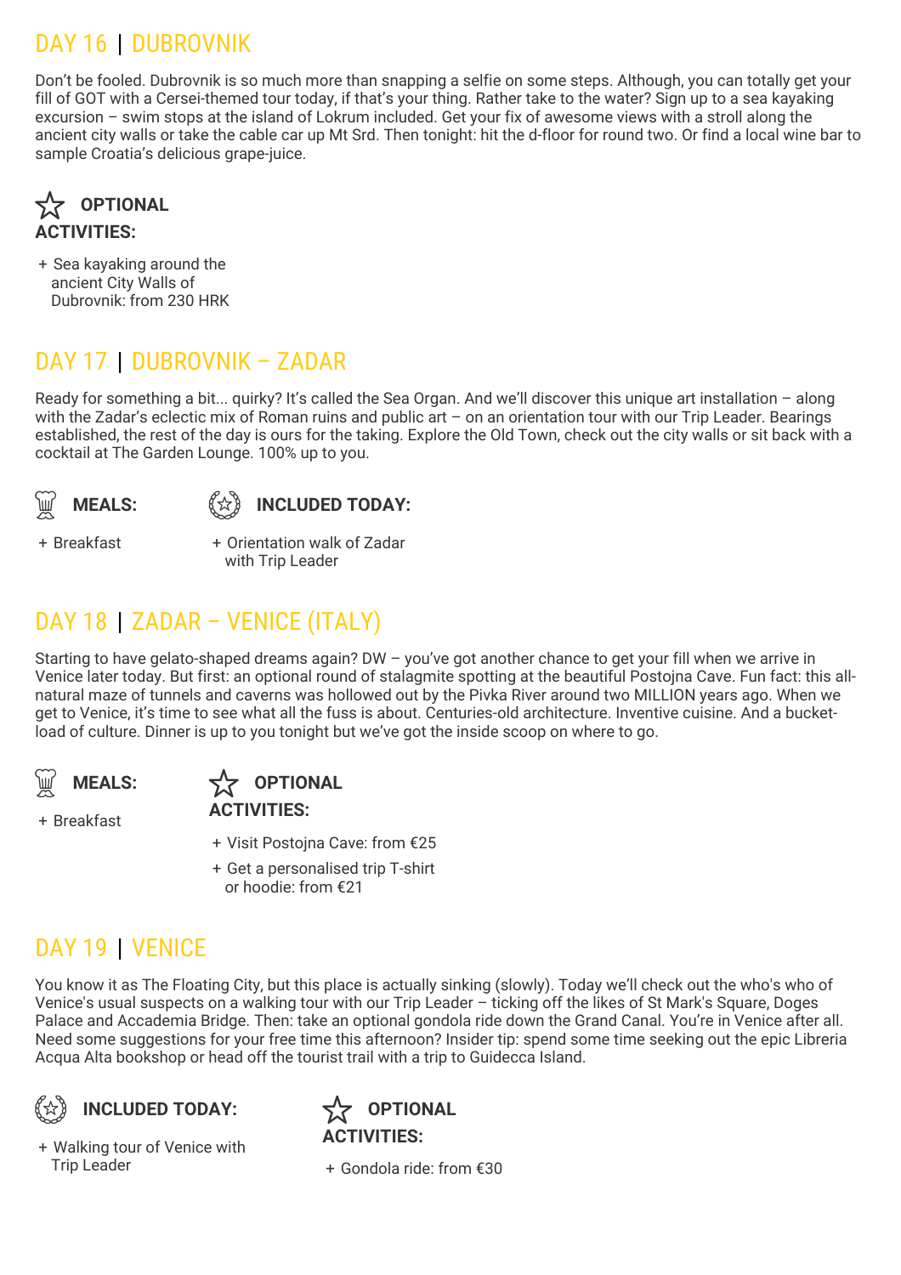## DAY 16 | DUBROVNIK

Don't be fooled. Dubrovnik is so much more than snapping a selfie on some steps. Although, you can totally get your fill of GOT with a Cersei-themed tour today, if that's your thing. Rather take to the water? Sign up to a sea kayaking excursion – swim stops at the island of Lokrum included. Get your fix of awesome views with a stroll along the ancient city walls or take the cable car up Mt Srd. Then tonight: hit the d-floor for round two. Or find a local wine bar to sample Croatia's delicious grape-juice.



+ Sea kayaking around the ancient City Walls of Dubrovnik: from 230 HRK

## DAY 17 | DUBROVNIK – ZADAR

Ready for something a bit... quirky? It's called the Sea Organ. And we'll discover this unique art installation – along with the Zadar's eclectic mix of Roman ruins and public art - on an orientation tour with our Trip Leader. Bearings established, the rest of the day is ours for the taking. Explore the Old Town, check out the city walls or sit back with a cocktail at The Garden Lounge. 100% up to you.





+ Breakfast +

Orientation walk of Zadar with Trip Leader

## DAY 18 | ZADAR – VENICE (ITALY)

Starting to have gelato-shaped dreams again? DW – you've got another chance to get your fill when we arrive in Venice later today. But first: an optional round of stalagmite spotting at the beautiful Postojna Cave. Fun fact: this allnatural maze of tunnels and caverns was hollowed out by the Pivka River around two MILLION years ago. When we get to Venice, it's time to see what all the fuss is about. Centuries-old architecture. Inventive cuisine. And a bucketload of culture. Dinner is up to you tonight but we've got the inside scoop on where to go.



**OPTIONAL** 

+ Breakfast

## **ACTIVITIES:**

- + Visit Postojna Cave: from €25
- + Get a personalised trip T-shirt or hoodie: from €21

## DAY 19 | VENICE

You know it as The Floating City, but this place is actually sinking (slowly). Today we'll check out the who's who of Venice's usual suspects on a walking tour with our Trip Leader – ticking off the likes of St Mark's Square, Doges Palace and Accademia Bridge. Then: take an optional gondola ride down the Grand Canal. You're in Venice after all. Need some suggestions for your free time this afternoon? Insider tip: spend some time seeking out the epic Libreria Acqua Alta bookshop or head off the tourist trail with a trip to Guidecca Island.



+ Walking tour of Venice with **Trip Leader** 



Gondola ride: from €30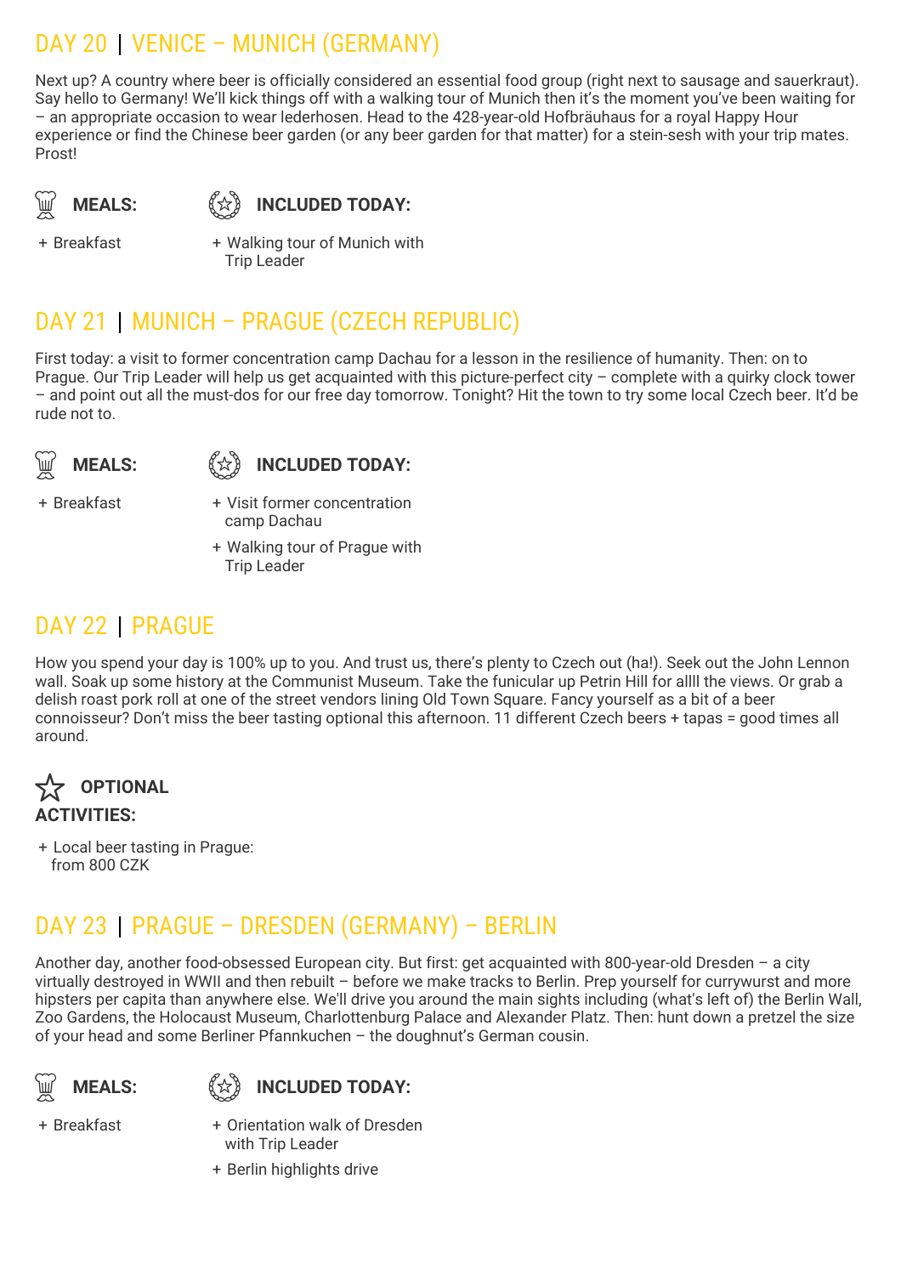## DAY 20 | VENICE – MUNICH (GERMANY)

Next up? A country where beer is officially considered an essential food group (right next to sausage and sauerkraut). Say hello to Germany! We'll kick things off with a walking tour of Munich then it's the moment you've been waiting for – an appropriate occasion to wear lederhosen. Head to the 428-year-old Hofbräuhaus for a royal Happy Hour experience or find the Chinese beer garden (or any beer garden for that matter) for a stein-sesh with your trip mates. Prost!

**MEALS:** 《☆》

**INCLUDED TODAY:** 

+ Breakfast +

Walking tour of Munich with Trip Leader

## DAY 21 | MUNICH – PRAGUE (CZECH REPUBLIC)

First today: a visit to former concentration camp Dachau for a lesson in the resilience of humanity. Then: on to Prague. Our Trip Leader will help us get acquainted with this picture-perfect city – complete with a quirky clock tower – and point out all the must-dos for our free day tomorrow. Tonight? Hit the town to try some local Czech beer. It'd be rude not to.



**INCLUDED TODAY:**

+ Breakfast +

Visit former concentration camp Dachau

+ Walking tour of Prague with Trip Leader

## DAY 22 | PRAGUE

How you spend your day is 100% up to you. And trust us, there's plenty to Czech out (ha!). Seek out the John Lennon wall. Soak up some history at the Communist Museum. Take the funicular up Petrin Hill for allll the views. Or grab a delish roast pork roll at one of the street vendors lining Old Town Square. Fancy yourself as a bit of a beer connoisseur? Don't miss the beer tasting optional this afternoon. 11 different Czech beers + tapas = good times all around.



+ Local beer tasting in Prague: from 800 CZK

## DAY 23 | PRAGUE – DRESDEN (GERMANY) – BERLIN

Another day, another food-obsessed European city. But first: get acquainted with 800-year-old Dresden – a city virtually destroyed in WWII and then rebuilt – before we make tracks to Berlin. Prep yourself for currywurst and more hipsters per capita than anywhere else. We'll drive you around the main sights including (what's left of) the Berlin Wall, Zoo Gardens, the Holocaust Museum, Charlottenburg Palace and Alexander Platz. Then: hunt down a pretzel the size of your head and some Berliner Pfannkuchen – the doughnut's German cousin.





+ Breakfast +

- Orientation walk of Dresden with Trip Leader
- + Berlin highlights drive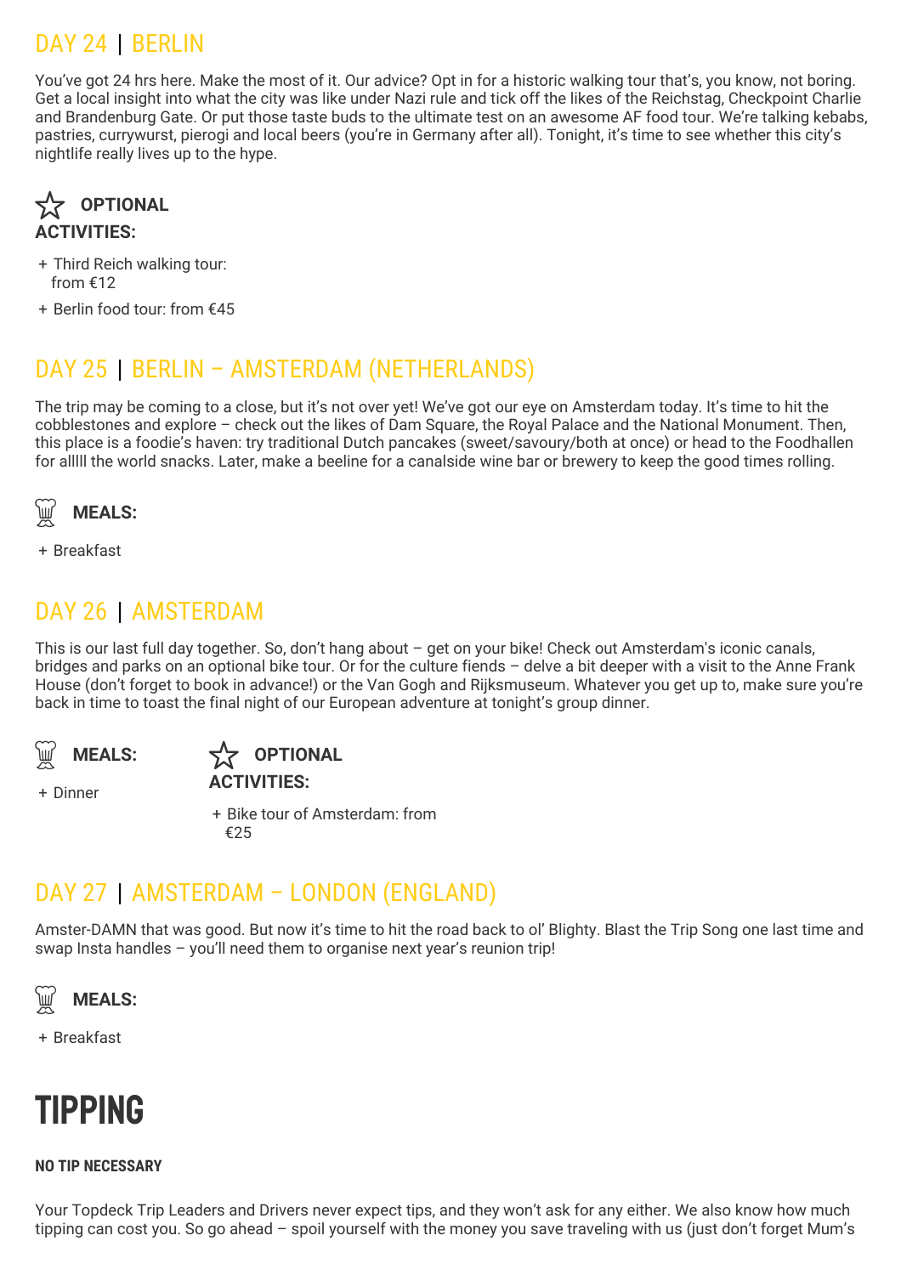## DAY 24 | BERLIN

You've got 24 hrs here. Make the most of it. Our advice? Opt in for a historic walking tour that's, you know, not boring. Get a local insight into what the city was like under Nazi rule and tick off the likes of the Reichstag, Checkpoint Charlie and Brandenburg Gate. Or put those taste buds to the ultimate test on an awesome AF food tour. We're talking kebabs, pastries, currywurst, pierogi and local beers (you're in Germany after all). Tonight, it's time to see whether this city's nightlife really lives up to the hype.



- + Third Reich walking tour: from €12
- + Berlin food tour: from €45

## DAY 25 | BERLIN – AMSTERDAM (NETHERLANDS)

The trip may be coming to a close, but it's not over yet! We've got our eye on Amsterdam today. It's time to hit the cobblestones and explore – check out the likes of Dam Square, the Royal Palace and the National Monument. Then, this place is a foodie's haven: try traditional Dutch pancakes (sweet/savoury/both at once) or head to the Foodhallen for alllll the world snacks. Later, make a beeline for a canalside wine bar or brewery to keep the good times rolling.



+ Breakfast

### DAY 26 | AMSTERDAM

This is our last full day together. So, don't hang about – get on your bike! Check out Amsterdam's iconic canals, bridges and parks on an optional bike tour. Or for the culture fiends – delve a bit deeper with a visit to the Anne Frank House (don't forget to book in advance!) or the Van Gogh and Rijksmuseum. Whatever you get up to, make sure you're back in time to toast the final night of our European adventure at tonight's group dinner.



**OPTIONAL ACTIVITIES:**

+ Dinner

+ Bike tour of Amsterdam: from €25

### DAY 27 | AMSTERDAM – LONDON (ENGLAND)

Amster-DAMN that was good. But now it's time to hit the road back to ol' Blighty. Blast the Trip Song one last time and swap Insta handles – you'll need them to organise next year's reunion trip!



+ Breakfast

# Tipping

### **NO TIP NECESSARY**

Your Topdeck Trip Leaders and Drivers never expect tips, and they won't ask for any either. We also know how much tipping can cost you. So go ahead – spoil yourself with the money you save traveling with us (just don't forget Mum's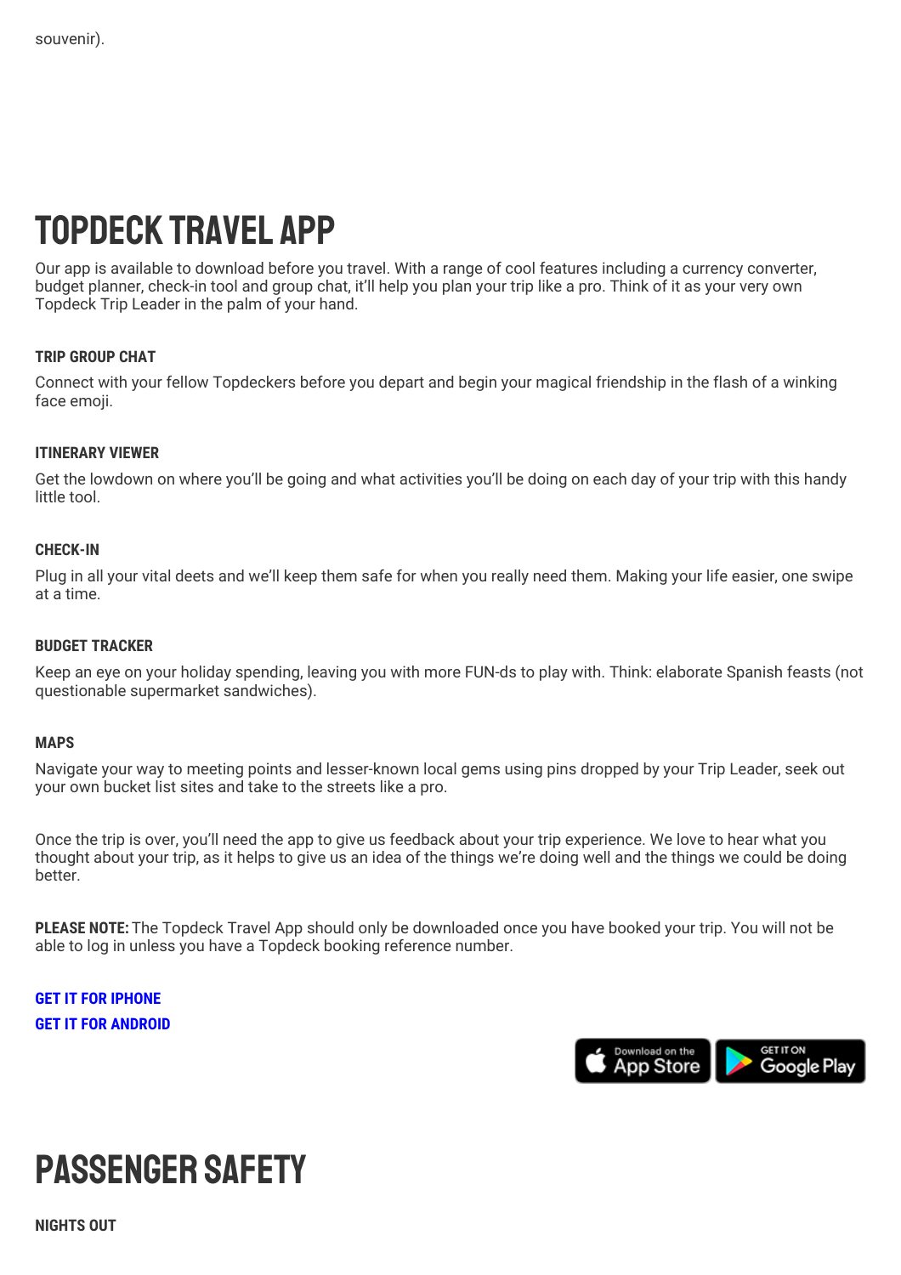# Topdeck Travel App

Our app is available to download before you travel. With a range of cool features including a currency converter, budget planner, check-in tool and group chat, it'll help you plan your trip like a pro. Think of it as your very own Topdeck Trip Leader in the palm of your hand.

### **TRIP GROUP CHAT**

Connect with your fellow Topdeckers before you depart and begin your magical friendship in the flash of a winking face emoji.

### **ITINERARY VIEWER**

Get the lowdown on where you'll be going and what activities you'll be doing on each day of your trip with this handy little tool.

#### **CHECK-IN**

Plug in all your vital deets and we'll keep them safe for when you really need them. Making your life easier, one swipe at a time.

#### **BUDGET TRACKER**

Keep an eye on your holiday spending, leaving you with more FUN-ds to play with. Think: elaborate Spanish feasts (not questionable supermarket sandwiches).

#### **MAPS**

Navigate your way to meeting points and lesser-known local gems using pins dropped by your Trip Leader, seek out your own bucket list sites and take to the streets like a pro.

Once the trip is over, you'll need the app to give us feedback about your trip experience. We love to hear what you thought about your trip, as it helps to give us an idea of the things we're doing well and the things we could be doing better.

**PLEASE NOTE:** The Topdeck Travel App should only be downloaded once you have booked your trip. You will not be able to log in unless you have a Topdeck booking reference number.

**GET IT FOR [IPHONE](https://itunes.apple.com/gb/app/topdeck/id994727866?mt=8) GET IT FOR [ANDROID](https://play.google.com/store/apps/details?id=com.FlexiTechSolutions.TopDeck&hl=en)**



# Passenger safety

**NIGHTS OUT**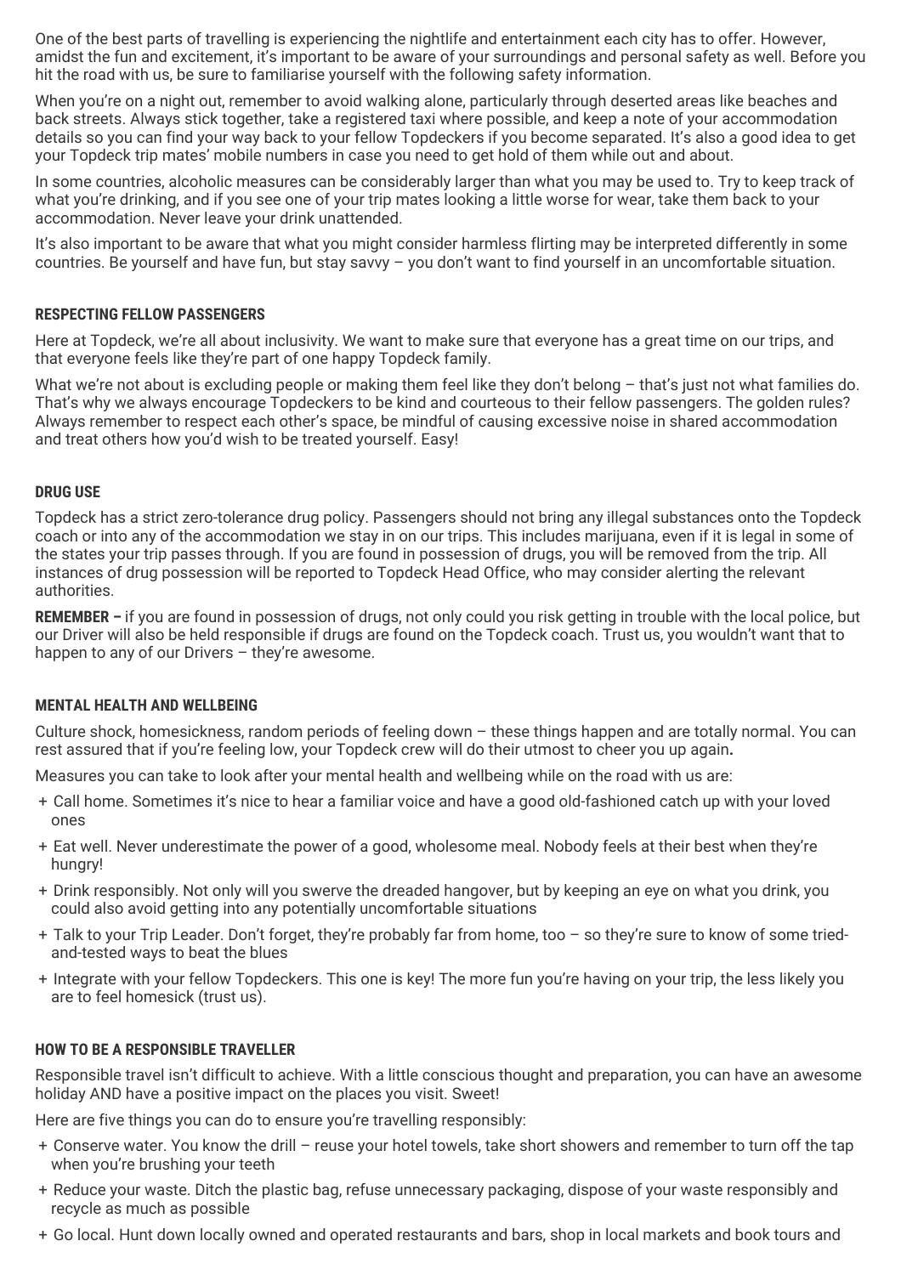One of the best parts of travelling is experiencing the nightlife and entertainment each city has to offer. However, amidst the fun and excitement, it's important to be aware of your surroundings and personal safety as well. Before you hit the road with us, be sure to familiarise yourself with the following safety information.

When you're on a night out, remember to avoid walking alone, particularly through deserted areas like beaches and back streets. Always stick together, take a registered taxi where possible, and keep a note of your accommodation details so you can find your way back to your fellow Topdeckers if you become separated. It's also a good idea to get your Topdeck trip mates' mobile numbers in case you need to get hold of them while out and about.

In some countries, alcoholic measures can be considerably larger than what you may be used to. Try to keep track of what you're drinking, and if you see one of your trip mates looking a little worse for wear, take them back to your accommodation. Never leave your drink unattended.

It's also important to be aware that what you might consider harmless flirting may be interpreted differently in some countries. Be yourself and have fun, but stay savvy – you don't want to find yourself in an uncomfortable situation.

### **RESPECTING FELLOW PASSENGERS**

Here at Topdeck, we're all about inclusivity. We want to make sure that everyone has a great time on our trips, and that everyone feels like they're part of one happy Topdeck family.

What we're not about is excluding people or making them feel like they don't belong - that's just not what families do. That's why we always encourage Topdeckers to be kind and courteous to their fellow passengers. The golden rules? Always remember to respect each other's space, be mindful of causing excessive noise in shared accommodation and treat others how you'd wish to be treated yourself. Easy!

#### **DRUG USE**

Topdeck has a strict zero-tolerance drug policy. Passengers should not bring any illegal substances onto the Topdeck coach or into any of the accommodation we stay in on our trips. This includes marijuana, even if it is legal in some of the states your trip passes through. If you are found in possession of drugs, you will be removed from the trip. All instances of drug possession will be reported to Topdeck Head Office, who may consider alerting the relevant authorities.

**REMEMBER –** if you are found in possession of drugs, not only could you risk getting in trouble with the local police, but our Driver will also be held responsible if drugs are found on the Topdeck coach. Trust us, you wouldn't want that to happen to any of our Drivers - they're awesome.

#### **MENTAL HEALTH AND WELLBEING**

Culture shock, homesickness, random periods of feeling down – these things happen and are totally normal. You can rest assured that if you're feeling low, your Topdeck crew will do their utmost to cheer you up again**.**

Measures you can take to look after your mental health and wellbeing while on the road with us are:

- + Call home. Sometimes it's nice to hear a familiar voice and have a good old-fashioned catch up with your loved ones
- + Eat well. Never underestimate the power of a good, wholesome meal. Nobody feels at their best when they're hungry!
- + Drink responsibly. Not only will you swerve the dreaded hangover, but by keeping an eye on what you drink, you could also avoid getting into any potentially uncomfortable situations
- + Talk to your Trip Leader. Don't forget, they're probably far from home, too so they're sure to know of some triedand-tested ways to beat the blues
- + Integrate with your fellow Topdeckers. This one is key! The more fun you're having on your trip, the less likely you are to feel homesick (trust us).

#### **HOW TO BE A RESPONSIBLE TRAVELLER**

Responsible travel isn't difficult to achieve. With a little conscious thought and preparation, you can have an awesome holiday AND have a positive impact on the places you visit. Sweet!

Here are five things you can do to ensure you're travelling responsibly:

- + Conserve water. You know the drill reuse your hotel towels, take short showers and remember to turn off the tap when you're brushing your teeth
- + Reduce your waste. Ditch the plastic bag, refuse unnecessary packaging, dispose of your waste responsibly and recycle as much as possible
- + Go local. Hunt down locally owned and operated restaurants and bars, shop in local markets and book tours and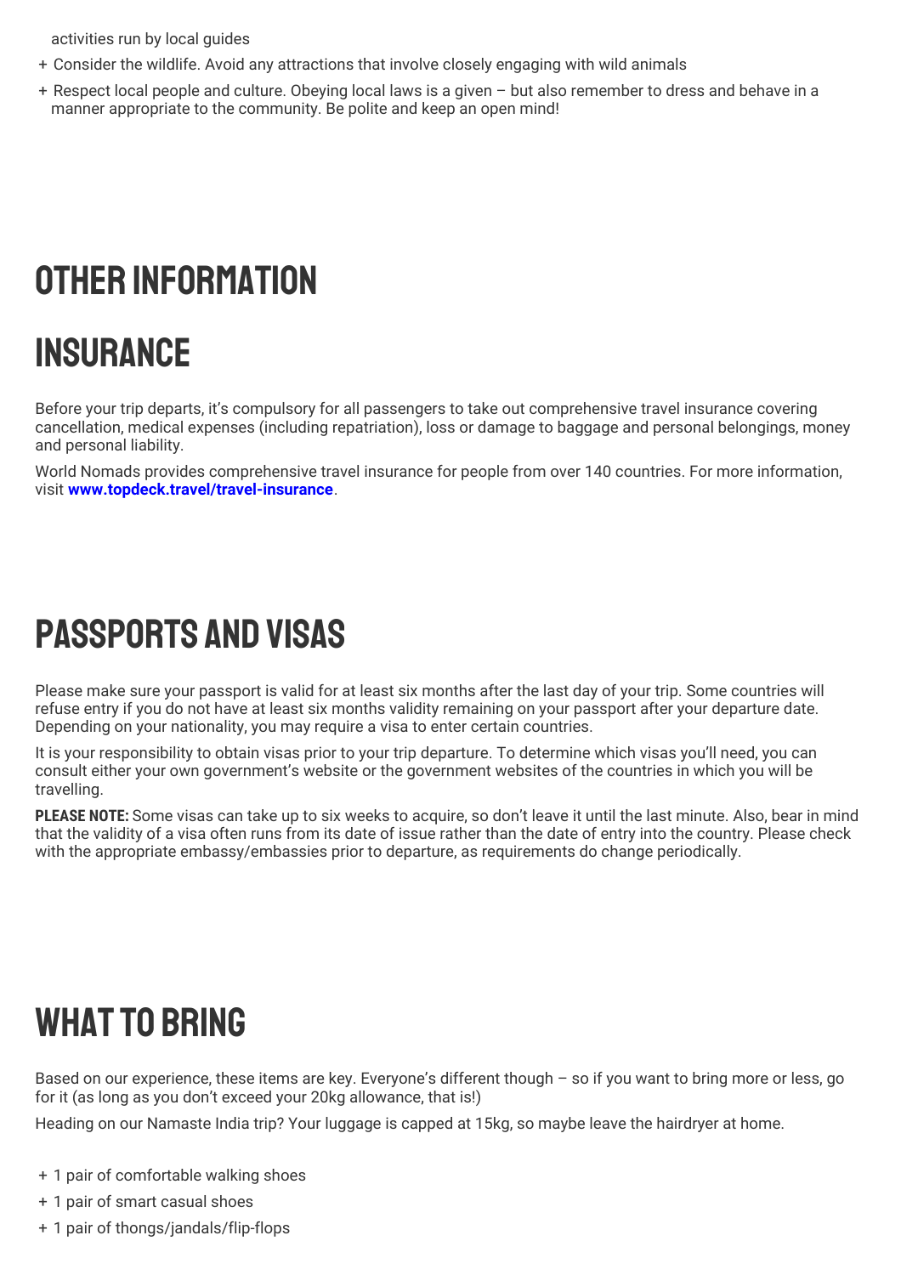activities run by local guides

- + Consider the wildlife. Avoid any attractions that involve closely engaging with wild animals
- + Respect local people and culture. Obeying local laws is a given but also remember to dress and behave in a manner appropriate to the community. Be polite and keep an open mind!

# OTHER INFORMATION

# **INSURANCE**

Before your trip departs, it's compulsory for all passengers to take out comprehensive travel insurance covering cancellation, medical expenses (including repatriation), loss or damage to baggage and personal belongings, money and personal liability.

World Nomads provides comprehensive travel insurance for people from over 140 countries. For more information, visit **[www.topdeck.travel/travel-insurance](http://www.topdeck.travel/travel-insurance)**.

# Passports and Visas

Please make sure your passport is valid for at least six months after the last day of your trip. Some countries will refuse entry if you do not have at least six months validity remaining on your passport after your departure date. Depending on your nationality, you may require a visa to enter certain countries.

It is your responsibility to obtain visas prior to your trip departure. To determine which visas you'll need, you can consult either your own government's website or the government websites of the countries in which you will be travelling.

**PLEASE NOTE:** Some visas can take up to six weeks to acquire, so don't leave it until the last minute. Also, bear in mind that the validity of a visa often runs from its date of issue rather than the date of entry into the country. Please check with the appropriate embassy/embassies prior to departure, as requirements do change periodically.

# WHAT TO BRING

Based on our experience, these items are key. Everyone's different though – so if you want to bring more or less, go for it (as long as you don't exceed your 20kg allowance, that is!)

Heading on our Namaste India trip? Your luggage is capped at 15kg, so maybe leave the hairdryer at home.

- + 1 pair of comfortable walking shoes
- + 1 pair of smart casual shoes
- + 1 pair of thongs/jandals/flip-flops